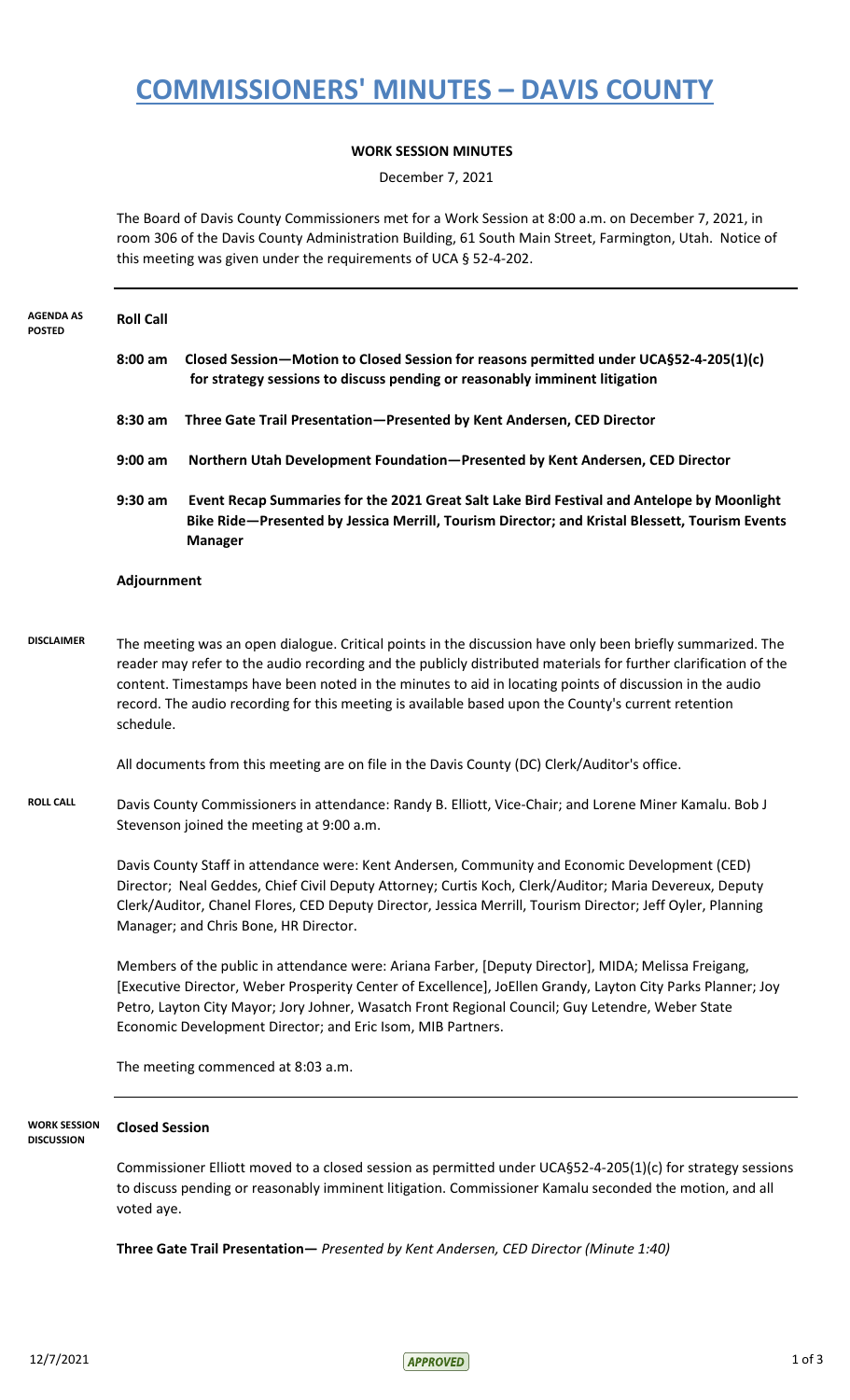# **COMMISSIONERS' MINUTES – DAVIS COUNTY**

### **WORK SESSION MINUTES**

December 7, 2021

The Board of Davis County Commissioners met for a Work Session at 8:00 a.m. on December 7, 2021, in room 306 of the Davis County Administration Building, 61 South Main Street, Farmington, Utah. Notice of this meeting was given under the requirements of UCA § 52-4-202.

| AGENDA AS<br><b>POSTED</b>        | <b>Roll Call</b>                                                                                                                                                                                                                                                                                                                                                                                                                                                                                                       |                                                                                                                                                                                                                                                                                                                                                                                                                                                 |  |
|-----------------------------------|------------------------------------------------------------------------------------------------------------------------------------------------------------------------------------------------------------------------------------------------------------------------------------------------------------------------------------------------------------------------------------------------------------------------------------------------------------------------------------------------------------------------|-------------------------------------------------------------------------------------------------------------------------------------------------------------------------------------------------------------------------------------------------------------------------------------------------------------------------------------------------------------------------------------------------------------------------------------------------|--|
|                                   | $8:00$ am                                                                                                                                                                                                                                                                                                                                                                                                                                                                                                              | Closed Session-Motion to Closed Session for reasons permitted under UCA§52-4-205(1)(c)<br>for strategy sessions to discuss pending or reasonably imminent litigation                                                                                                                                                                                                                                                                            |  |
|                                   | 8:30 am                                                                                                                                                                                                                                                                                                                                                                                                                                                                                                                | Three Gate Trail Presentation-Presented by Kent Andersen, CED Director                                                                                                                                                                                                                                                                                                                                                                          |  |
|                                   | $9:00$ am                                                                                                                                                                                                                                                                                                                                                                                                                                                                                                              | Northern Utah Development Foundation-Presented by Kent Andersen, CED Director                                                                                                                                                                                                                                                                                                                                                                   |  |
|                                   | $9:30$ am                                                                                                                                                                                                                                                                                                                                                                                                                                                                                                              | Event Recap Summaries for the 2021 Great Salt Lake Bird Festival and Antelope by Moonlight<br>Bike Ride-Presented by Jessica Merrill, Tourism Director; and Kristal Blessett, Tourism Events<br><b>Manager</b>                                                                                                                                                                                                                                  |  |
|                                   | Adjournment                                                                                                                                                                                                                                                                                                                                                                                                                                                                                                            |                                                                                                                                                                                                                                                                                                                                                                                                                                                 |  |
| <b>DISCLAIMER</b>                 | schedule.                                                                                                                                                                                                                                                                                                                                                                                                                                                                                                              | The meeting was an open dialogue. Critical points in the discussion have only been briefly summarized. The<br>reader may refer to the audio recording and the publicly distributed materials for further clarification of the<br>content. Timestamps have been noted in the minutes to aid in locating points of discussion in the audio<br>record. The audio recording for this meeting is available based upon the County's current retention |  |
|                                   | All documents from this meeting are on file in the Davis County (DC) Clerk/Auditor's office.                                                                                                                                                                                                                                                                                                                                                                                                                           |                                                                                                                                                                                                                                                                                                                                                                                                                                                 |  |
| <b>ROLL CALL</b>                  | Davis County Commissioners in attendance: Randy B. Elliott, Vice-Chair; and Lorene Miner Kamalu. Bob J<br>Stevenson joined the meeting at 9:00 a.m.<br>Davis County Staff in attendance were: Kent Andersen, Community and Economic Development (CED)<br>Director; Neal Geddes, Chief Civil Deputy Attorney; Curtis Koch, Clerk/Auditor; Maria Devereux, Deputy<br>Clerk/Auditor, Chanel Flores, CED Deputy Director, Jessica Merrill, Tourism Director; Jeff Oyler, Planning<br>Manager; and Chris Bone, HR Director. |                                                                                                                                                                                                                                                                                                                                                                                                                                                 |  |
|                                   |                                                                                                                                                                                                                                                                                                                                                                                                                                                                                                                        |                                                                                                                                                                                                                                                                                                                                                                                                                                                 |  |
|                                   |                                                                                                                                                                                                                                                                                                                                                                                                                                                                                                                        | Members of the public in attendance were: Ariana Farber, [Deputy Director], MIDA; Melissa Freigang,<br>[Executive Director, Weber Prosperity Center of Excellence], JoEllen Grandy, Layton City Parks Planner; Joy<br>Petro, Layton City Mayor; Jory Johner, Wasatch Front Regional Council; Guy Letendre, Weber State<br>Economic Development Director; and Eric Isom, MIB Partners.                                                           |  |
|                                   |                                                                                                                                                                                                                                                                                                                                                                                                                                                                                                                        | The meeting commenced at 8:03 a.m.                                                                                                                                                                                                                                                                                                                                                                                                              |  |
| WORK SESSION<br><b>DISCUSSION</b> | <b>Closed Session</b>                                                                                                                                                                                                                                                                                                                                                                                                                                                                                                  |                                                                                                                                                                                                                                                                                                                                                                                                                                                 |  |
|                                   | Commissioner Elliott moved to a closed session as permitted under UCA§52-4-205(1)(c) for strategy sessions<br>to discuss pending or reasonably imminent litigation. Commissioner Kamalu seconded the motion, and all<br>voted aye.                                                                                                                                                                                                                                                                                     |                                                                                                                                                                                                                                                                                                                                                                                                                                                 |  |

**Three Gate Trail Presentation—** *Presented by Kent Andersen, CED Director (Minute 1:40)*

 $12/7/2021$  1 of 3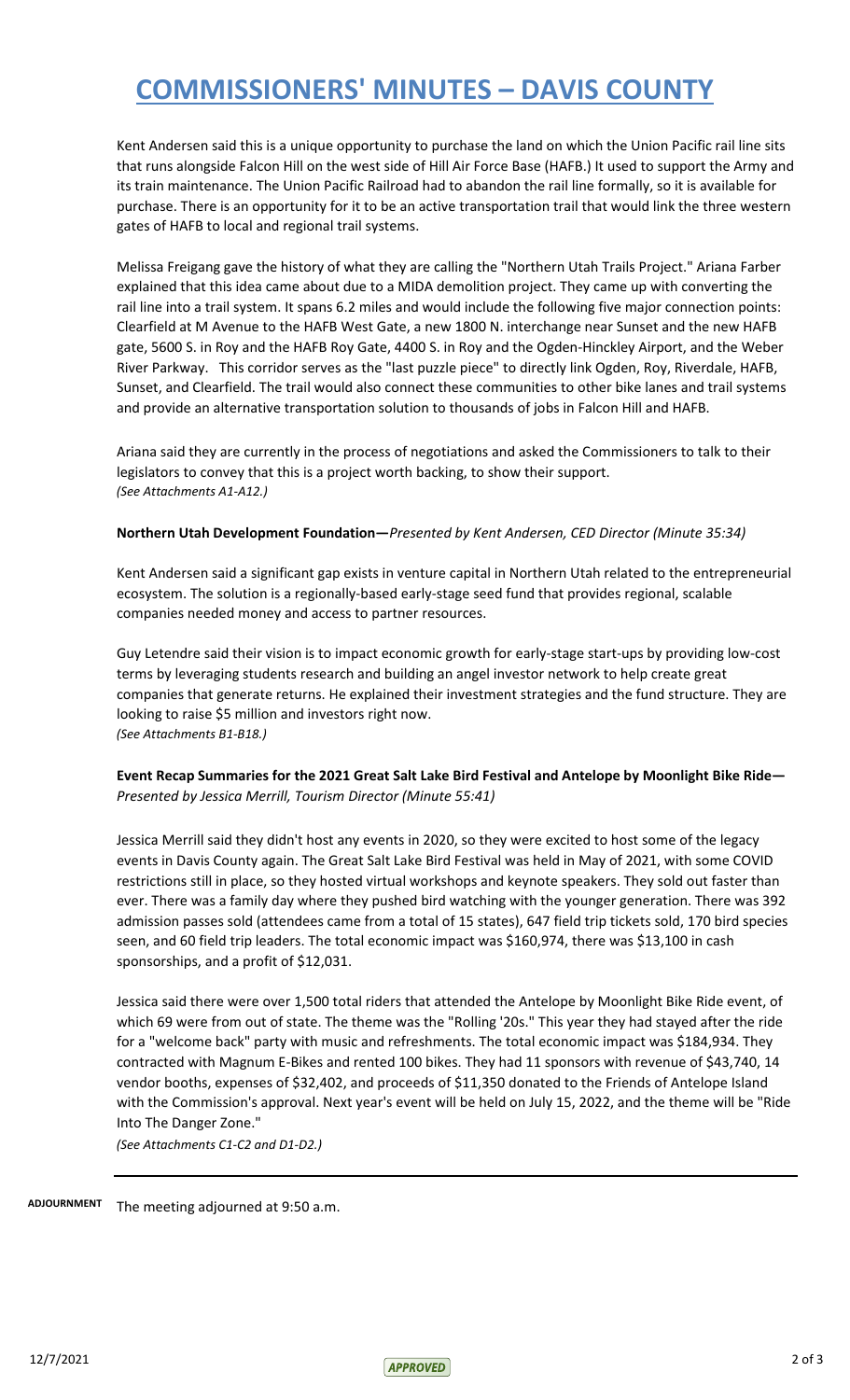# **COMMISSIONERS' MINUTES – DAVIS COUNTY**

Kent Andersen said this is a unique opportunity to purchase the land on which the Union Pacific rail line sits that runs alongside Falcon Hill on the west side of Hill Air Force Base (HAFB.) It used to support the Army and its train maintenance. The Union Pacific Railroad had to abandon the rail line formally, so it is available for purchase. There is an opportunity for it to be an active transportation trail that would link the three western gates of HAFB to local and regional trail systems.

Melissa Freigang gave the history of what they are calling the "Northern Utah Trails Project." Ariana Farber explained that this idea came about due to a MIDA demolition project. They came up with converting the rail line into a trail system. It spans 6.2 miles and would include the following five major connection points: Clearfield at M Avenue to the HAFB West Gate, a new 1800 N. interchange near Sunset and the new HAFB gate, 5600 S. in Roy and the HAFB Roy Gate, 4400 S. in Roy and the Ogden-Hinckley Airport, and the Weber River Parkway. This corridor serves as the "last puzzle piece" to directly link Ogden, Roy, Riverdale, HAFB, Sunset, and Clearfield. The trail would also connect these communities to other bike lanes and trail systems and provide an alternative transportation solution to thousands of jobs in Falcon Hill and HAFB.

Ariana said they are currently in the process of negotiations and asked the Commissioners to talk to their legislators to convey that this is a project worth backing, to show their support. *(See Attachments A1-A12.)*

#### **Northern Utah Development Foundation—***Presented by Kent Andersen, CED Director (Minute 35:34)*

Kent Andersen said a significant gap exists in venture capital in Northern Utah related to the entrepreneurial ecosystem. The solution is a regionally-based early-stage seed fund that provides regional, scalable companies needed money and access to partner resources.

Guy Letendre said their vision is to impact economic growth for early-stage start-ups by providing low-cost terms by leveraging students research and building an angel investor network to help create great companies that generate returns. He explained their investment strategies and the fund structure. They are looking to raise \$5 million and investors right now. *(See Attachments B1-B18.)*

### **Event Recap Summaries for the 2021 Great Salt Lake Bird Festival and Antelope by Moonlight Bike Ride—**  *Presented by Jessica Merrill, Tourism Director (Minute 55:41)*

Jessica Merrill said they didn't host any events in 2020, so they were excited to host some of the legacy events in Davis County again. The Great Salt Lake Bird Festival was held in May of 2021, with some COVID restrictions still in place, so they hosted virtual workshops and keynote speakers. They sold out faster than ever. There was a family day where they pushed bird watching with the younger generation. There was 392 admission passes sold (attendees came from a total of 15 states), 647 field trip tickets sold, 170 bird species seen, and 60 field trip leaders. The total economic impact was \$160,974, there was \$13,100 in cash sponsorships, and a profit of \$12,031.

Jessica said there were over 1,500 total riders that attended the Antelope by Moonlight Bike Ride event, of which 69 were from out of state. The theme was the "Rolling '20s." This year they had stayed after the ride for a "welcome back" party with music and refreshments. The total economic impact was \$184,934. They contracted with Magnum E-Bikes and rented 100 bikes. They had 11 sponsors with revenue of \$43,740, 14 vendor booths, expenses of \$32,402, and proceeds of \$11,350 donated to the Friends of Antelope Island with the Commission's approval. Next year's event will be held on July 15, 2022, and the theme will be "Ride Into The Danger Zone."

*(See Attachments C1-C2 and D1-D2.)*

ADJOURNMENT The meeting adjourned at 9:50 a.m.